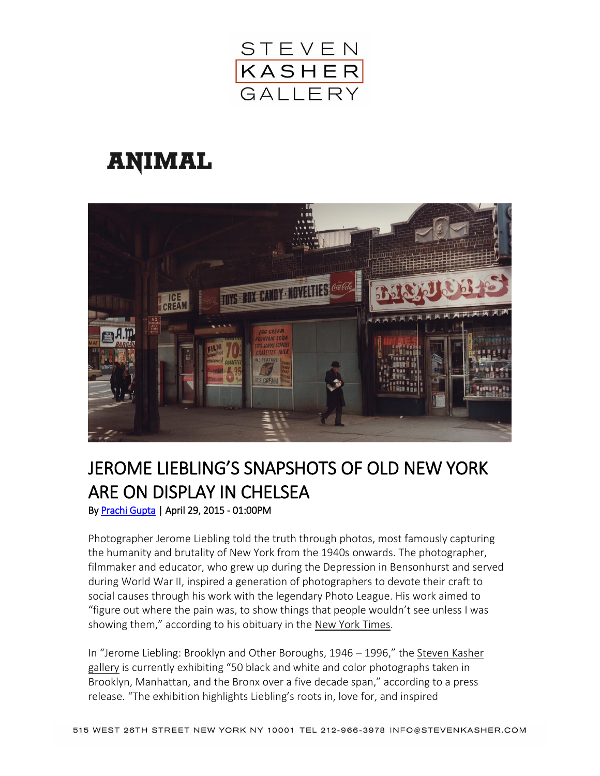

## **ANIMAL**



## JEROME LIEBLING'S SNAPSHOTS OF OLD NEW YORK ARE ON DISPLAY IN CHELSEA

By [Prachi Gupta](http://animalnewyork.com/author/pg/) | April 29, 2015 - 01:00PM

Photographer Jerome Liebling told the truth through photos, most famously capturing the humanity and brutality of New York from the 1940s onwards. The photographer, filmmaker and educator, who grew up during the Depression in Bensonhurst and served during World War II, inspired a generation of photographers to devote their craft to social causes through his work with the legendary Photo League. His work aimed to "figure out where the pain was, to show things that people wouldn't see unless I was showing them," according to his obituary in the New York [Times.](http://www.nytimes.com/2011/07/29/arts/design/jerome-liebling-photographer-and-mentor-is-dead-at-87.html)

In "Jerome Liebling: Brooklyn and Other Boroughs, 1946 – 1996," the [Steven](http://www.stevenkasher.com/artists/jerome-liebling#13) Kasher [gallery](http://www.stevenkasher.com/artists/jerome-liebling#13) is currently exhibiting "50 black and white and color photographs taken in Brooklyn, Manhattan, and the Bronx over a five decade span," according to a press release. "The exhibition highlights Liebling's roots in, love for, and inspired